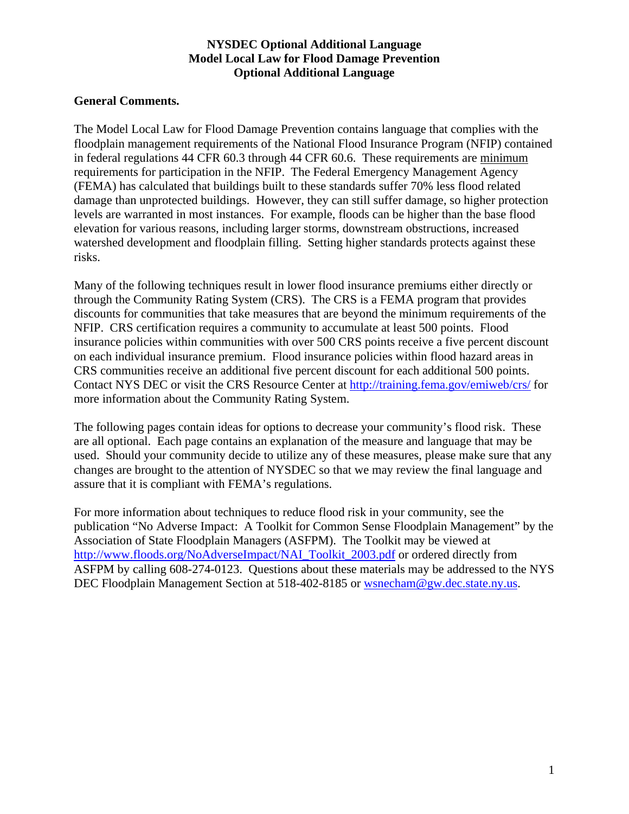### **General Comments.**

The Model Local Law for Flood Damage Prevention contains language that complies with the floodplain management requirements of the National Flood Insurance Program (NFIP) contained in federal regulations 44 CFR 60.3 through 44 CFR 60.6. These requirements are minimum requirements for participation in the NFIP. The Federal Emergency Management Agency (FEMA) has calculated that buildings built to these standards suffer 70% less flood related damage than unprotected buildings. However, they can still suffer damage, so higher protection levels are warranted in most instances. For example, floods can be higher than the base flood elevation for various reasons, including larger storms, downstream obstructions, increased watershed development and floodplain filling. Setting higher standards protects against these risks.

Many of the following techniques result in lower flood insurance premiums either directly or through the Community Rating System (CRS). The CRS is a FEMA program that provides discounts for communities that take measures that are beyond the minimum requirements of the NFIP. CRS certification requires a community to accumulate at least 500 points. Flood insurance policies within communities with over 500 CRS points receive a five percent discount on each individual insurance premium. Flood insurance policies within flood hazard areas in CRS communities receive an additional five percent discount for each additional 500 points. Contact NYS DEC or visit the CRS Resource Center at http://training.fema.gov/emiweb/crs/ for more information about the Community Rating System.

The following pages contain ideas for options to decrease your community's flood risk. These are all optional. Each page contains an explanation of the measure and language that may be used. Should your community decide to utilize any of these measures, please make sure that any changes are brought to the attention of NYSDEC so that we may review the final language and assure that it is compliant with FEMA's regulations.

For more information about techniques to reduce flood risk in your community, see the publication "No Adverse Impact: A Toolkit for Common Sense Floodplain Management" by the Association of State Floodplain Managers (ASFPM). The Toolkit may be viewed at http://www.floods.org/NoAdverseImpact/NAI\_Toolkit\_2003.pdf or ordered directly from ASFPM by calling 608-274-0123. Questions about these materials may be addressed to the NYS DEC Floodplain Management Section at 518-402-8185 or wsnecham@gw.dec.state.ny.us.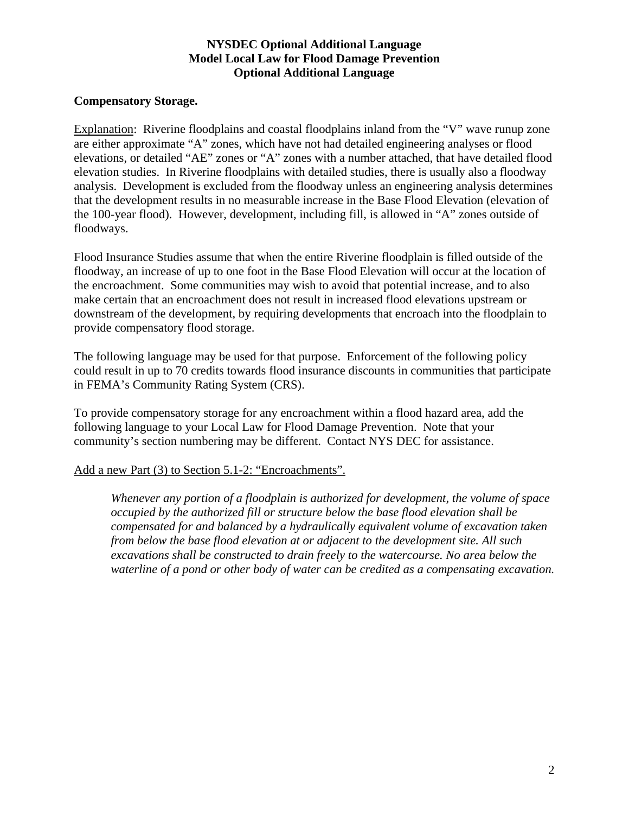### **Compensatory Storage.**

Explanation: Riverine floodplains and coastal floodplains inland from the "V" wave runup zone are either approximate "A" zones, which have not had detailed engineering analyses or flood elevations, or detailed "AE" zones or "A" zones with a number attached, that have detailed flood elevation studies. In Riverine floodplains with detailed studies, there is usually also a floodway analysis. Development is excluded from the floodway unless an engineering analysis determines that the development results in no measurable increase in the Base Flood Elevation (elevation of the 100-year flood). However, development, including fill, is allowed in "A" zones outside of floodways.

Flood Insurance Studies assume that when the entire Riverine floodplain is filled outside of the floodway, an increase of up to one foot in the Base Flood Elevation will occur at the location of the encroachment. Some communities may wish to avoid that potential increase, and to also make certain that an encroachment does not result in increased flood elevations upstream or downstream of the development, by requiring developments that encroach into the floodplain to provide compensatory flood storage.

The following language may be used for that purpose. Enforcement of the following policy could result in up to 70 credits towards flood insurance discounts in communities that participate in FEMA's Community Rating System (CRS).

To provide compensatory storage for any encroachment within a flood hazard area, add the following language to your Local Law for Flood Damage Prevention. Note that your community's section numbering may be different. Contact NYS DEC for assistance.

Add a new Part (3) to Section 5.1-2: "Encroachments".

*Whenever any portion of a floodplain is authorized for development, the volume of space occupied by the authorized fill or structure below the base flood elevation shall be compensated for and balanced by a hydraulically equivalent volume of excavation taken from below the base flood elevation at or adjacent to the development site. All such excavations shall be constructed to drain freely to the watercourse. No area below the waterline of a pond or other body of water can be credited as a compensating excavation.*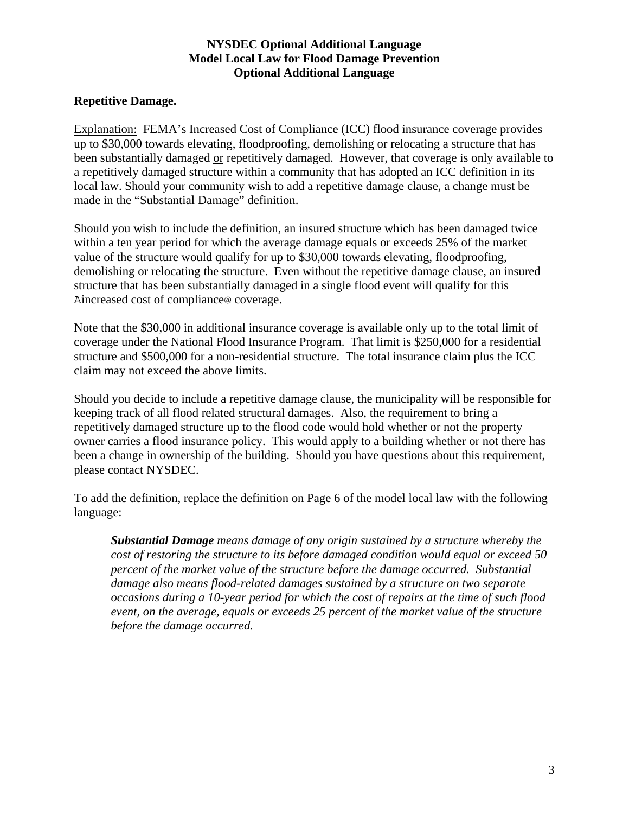# **Repetitive Damage.**

Explanation: FEMA's Increased Cost of Compliance (ICC) flood insurance coverage provides up to \$30,000 towards elevating, floodproofing, demolishing or relocating a structure that has been substantially damaged or repetitively damaged. However, that coverage is only available to a repetitively damaged structure within a community that has adopted an ICC definition in its local law. Should your community wish to add a repetitive damage clause, a change must be made in the "Substantial Damage" definition.

Should you wish to include the definition, an insured structure which has been damaged twice within a ten year period for which the average damage equals or exceeds 25% of the market value of the structure would qualify for up to \$30,000 towards elevating, floodproofing, demolishing or relocating the structure. Even without the repetitive damage clause, an insured structure that has been substantially damaged in a single flood event will qualify for this Aincreased cost of compliance@ coverage.

Note that the \$30,000 in additional insurance coverage is available only up to the total limit of coverage under the National Flood Insurance Program. That limit is \$250,000 for a residential structure and \$500,000 for a non-residential structure. The total insurance claim plus the ICC claim may not exceed the above limits.

Should you decide to include a repetitive damage clause, the municipality will be responsible for keeping track of all flood related structural damages. Also, the requirement to bring a repetitively damaged structure up to the flood code would hold whether or not the property owner carries a flood insurance policy. This would apply to a building whether or not there has been a change in ownership of the building. Should you have questions about this requirement, please contact NYSDEC.

# To add the definition, replace the definition on Page 6 of the model local law with the following language:

*Substantial Damage means damage of any origin sustained by a structure whereby the cost of restoring the structure to its before damaged condition would equal or exceed 50 percent of the market value of the structure before the damage occurred. Substantial damage also means flood-related damages sustained by a structure on two separate occasions during a 10-year period for which the cost of repairs at the time of such flood event, on the average, equals or exceeds 25 percent of the market value of the structure before the damage occurred.*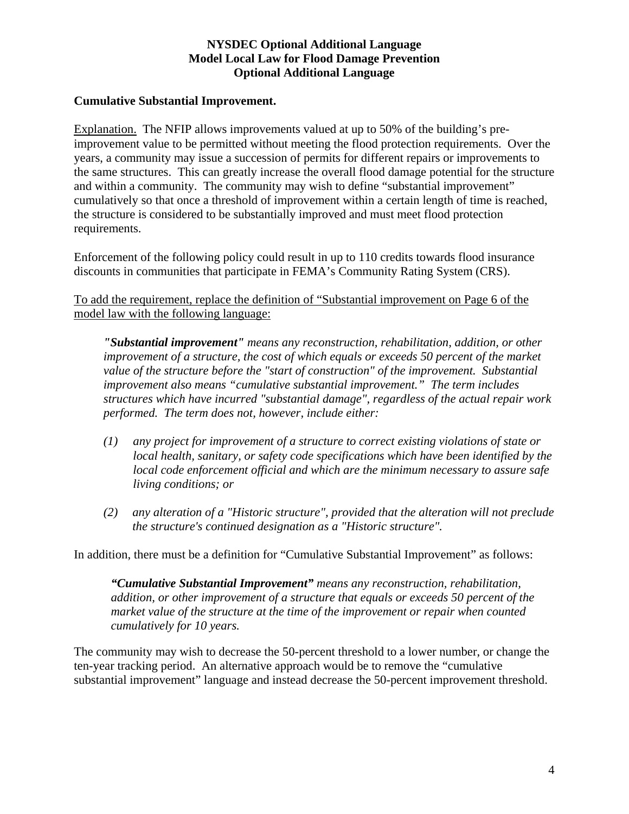### **Cumulative Substantial Improvement.**

Explanation. The NFIP allows improvements valued at up to 50% of the building's preimprovement value to be permitted without meeting the flood protection requirements. Over the years, a community may issue a succession of permits for different repairs or improvements to the same structures. This can greatly increase the overall flood damage potential for the structure and within a community. The community may wish to define "substantial improvement" cumulatively so that once a threshold of improvement within a certain length of time is reached, the structure is considered to be substantially improved and must meet flood protection requirements.

Enforcement of the following policy could result in up to 110 credits towards flood insurance discounts in communities that participate in FEMA's Community Rating System (CRS).

To add the requirement, replace the definition of "Substantial improvement on Page 6 of the model law with the following language:

*"Substantial improvement" means any reconstruction, rehabilitation, addition, or other improvement of a structure, the cost of which equals or exceeds 50 percent of the market value of the structure before the "start of construction" of the improvement. Substantial improvement also means "cumulative substantial improvement." The term includes structures which have incurred "substantial damage", regardless of the actual repair work performed. The term does not, however, include either:* 

- *(1) any project for improvement of a structure to correct existing violations of state or local health, sanitary, or safety code specifications which have been identified by the local code enforcement official and which are the minimum necessary to assure safe living conditions; or*
- *(2) any alteration of a "Historic structure", provided that the alteration will not preclude the structure's continued designation as a "Historic structure".*

In addition, there must be a definition for "Cumulative Substantial Improvement" as follows:

*"Cumulative Substantial Improvement" means any reconstruction, rehabilitation, addition, or other improvement of a structure that equals or exceeds 50 percent of the market value of the structure at the time of the improvement or repair when counted cumulatively for 10 years.* 

The community may wish to decrease the 50-percent threshold to a lower number, or change the ten-year tracking period. An alternative approach would be to remove the "cumulative substantial improvement" language and instead decrease the 50-percent improvement threshold.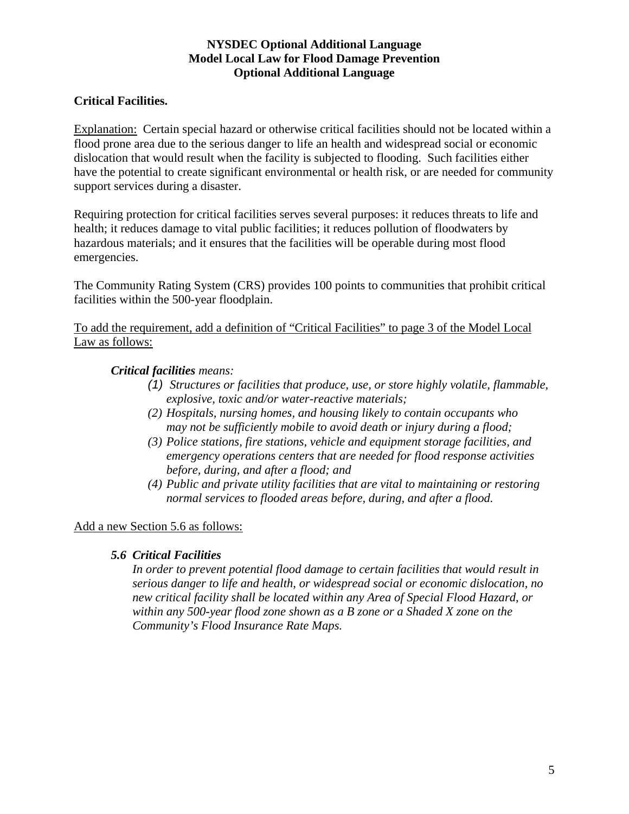# **Critical Facilities.**

Explanation: Certain special hazard or otherwise critical facilities should not be located within a flood prone area due to the serious danger to life an health and widespread social or economic dislocation that would result when the facility is subjected to flooding. Such facilities either have the potential to create significant environmental or health risk, or are needed for community support services during a disaster.

Requiring protection for critical facilities serves several purposes: it reduces threats to life and health; it reduces damage to vital public facilities; it reduces pollution of floodwaters by hazardous materials; and it ensures that the facilities will be operable during most flood emergencies.

The Community Rating System (CRS) provides 100 points to communities that prohibit critical facilities within the 500-year floodplain.

To add the requirement, add a definition of "Critical Facilities" to page 3 of the Model Local Law as follows:

# *Critical facilities means:*

- *(1) Structures or facilities that produce, use, or store highly volatile, flammable, explosive, toxic and/or water-reactive materials;*
- *(2) Hospitals, nursing homes, and housing likely to contain occupants who may not be sufficiently mobile to avoid death or injury during a flood;*
- *(3) Police stations, fire stations, vehicle and equipment storage facilities, and emergency operations centers that are needed for flood response activities before, during, and after a flood; and*
- *(4) Public and private utility facilities that are vital to maintaining or restoring normal services to flooded areas before, during, and after a flood.*

#### Add a new Section 5.6 as follows:

# *5.6 Critical Facilities*

*In order to prevent potential flood damage to certain facilities that would result in serious danger to life and health, or widespread social or economic dislocation, no new critical facility shall be located within any Area of Special Flood Hazard, or within any 500-year flood zone shown as a B zone or a Shaded X zone on the Community's Flood Insurance Rate Maps.*